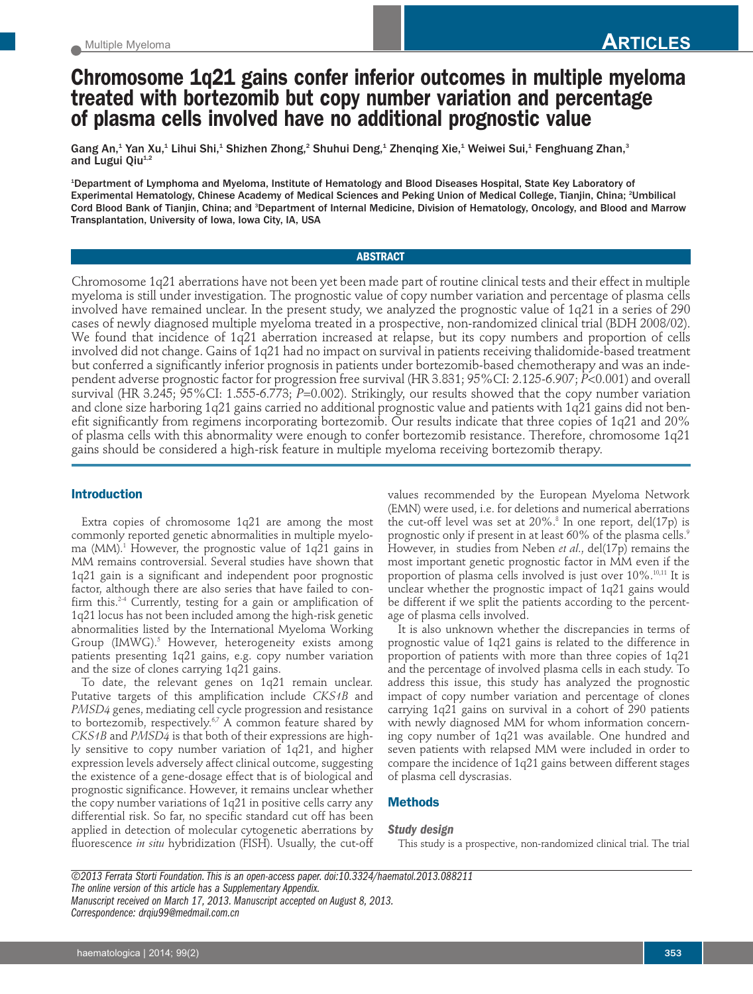# **Chromosome 1q21 gains confer inferior outcomes in multiple myeloma treated with bortezomib but copy number variation and percentage of plasma cells involved have no additional prognostic value**

Gang An,<sup>1</sup> Yan Xu,<sup>1</sup> Lihui Shi,<sup>1</sup> Shizhen Zhong,<sup>2</sup> Shuhui Deng,<sup>1</sup> Zhenqing Xie,<sup>1</sup> Weiwei Sui,<sup>1</sup> Fenghuang Zhan,<sup>3</sup> and Lugui Qiu<sup>1,2</sup>

1 Department of Lymphoma and Myeloma, Institute of Hematology and Blood Diseases Hospital, State Key Laboratory of Experimental Hematology, Chinese Academy of Medical Sciences and Peking Union of Medical College, Tianjin, China; <sup>2</sup>Umbilical Cord Blood Bank of Tianjin, China; and <sup>3</sup>Department of Internal Medicine, Division of Hematology, Oncology, and Blood and Marrow Transplantation, University of Iowa, Iowa City, IA, USA

## **ABSTRACT**

Chromosome 1q21 aberrations have not been yet been made part of routine clinical tests and their effect in multiple myeloma is still under investigation. The prognostic value of copy number variation and percentage of plasma cells involved have remained unclear. In the present study, we analyzed the prognostic value of 1q21 in a series of 290 cases of newly diagnosed multiple myeloma treated in a prospective, non-randomized clinical trial (BDH 2008/02). We found that incidence of 1q21 aberration increased at relapse, but its copy numbers and proportion of cells involved did not change. Gains of 1q21 had no impact on survival in patients receiving thalidomide-based treatment but conferred a significantly inferior prognosis in patients under bortezomib-based chemotherapy and was an independent adverse prognostic factor for progression free survival (HR 3.831; 95%CI: 2.125-6.907; *P*<0.001) and overall survival (HR 3.245; 95%CI: 1.555-6.773; *P*=0.002). Strikingly, our results showed that the copy number variation and clone size harboring 1q21 gains carried no additional prognostic value and patients with 1q21 gains did not benefit significantly from regimens incorporating bortezomib. Our results indicate that three copies of 1q21 and 20% of plasma cells with this abnormality were enough to confer bortezomib resistance. Therefore, chromosome 1q21 gains should be considered a high-risk feature in multiple myeloma receiving bortezomib therapy.

# **Introduction**

Extra copies of chromosome 1q21 are among the most commonly reported genetic abnormalities in multiple myeloma (MM).1 However, the prognostic value of 1q21 gains in MM remains controversial. Several studies have shown that 1q21 gain is a significant and independent poor prognostic factor, although there are also series that have failed to confirm this.2-4 Currently, testing for a gain or amplification of 1q21 locus has not been included among the high-risk genetic abnormalities listed by the International Myeloma Working Group (IMWG).<sup>5</sup> However, heterogeneity exists among patients presenting 1q21 gains, e.g. copy number variation and the size of clones carrying 1q21 gains.

To date, the relevant genes on 1q21 remain unclear. Putative targets of this amplification include *CKS1B* and *PMSD4* genes, mediating cell cycle progression and resistance to bortezomib, respectively.<sup>67</sup> A common feature shared by *CKS1B* and *PMSD4* is that both of their expressions are highly sensitive to copy number variation of 1q21, and higher expression levels adversely affect clinical outcome, suggesting the existence of a gene-dosage effect that is of biological and prognostic significance. However, it remains unclear whether the copy number variations of 1q21 in positive cells carry any differential risk. So far, no specific standard cut off has been applied in detection of molecular cytogenetic aberrations by fluorescence *in situ* hybridization (FISH). Usually, the cut-off

values recommended by the European Myeloma Network (EMN) were used, i.e. for deletions and numerical aberrations the cut-off level was set at  $20\%$ .<sup>8</sup> In one report, del(17p) is prognostic only if present in at least 60% of the plasma cells.<sup>9</sup> However, in studies from Neben *et al*., del(17p) remains the most important genetic prognostic factor in MM even if the proportion of plasma cells involved is just over  $10\%$ .<sup>10,11</sup> It is unclear whether the prognostic impact of 1q21 gains would be different if we split the patients according to the percentage of plasma cells involved.

It is also unknown whether the discrepancies in terms of prognostic value of 1q21 gains is related to the difference in proportion of patients with more than three copies of 1q21 and the percentage of involved plasma cells in each study. To address this issue, this study has analyzed the prognostic impact of copy number variation and percentage of clones carrying 1q21 gains on survival in a cohort of 290 patients with newly diagnosed MM for whom information concerning copy number of 1q21 was available. One hundred and seven patients with relapsed MM were included in order to compare the incidence of 1q21 gains between different stages of plasma cell dyscrasias.

# **Methods**

## *Study design*

This study is a prospective, non-randomized clinical trial. The trial

*©2013 Ferrata Storti Foundation. This is an open-access paper. doi:10.3324/haematol.2013.088211 The online version of this article has a Supplementary Appendix. Manuscript received on March 17, 2013. Manuscript accepted on August 8, 2013. Correspondence: drqiu99@medmail.com.cn*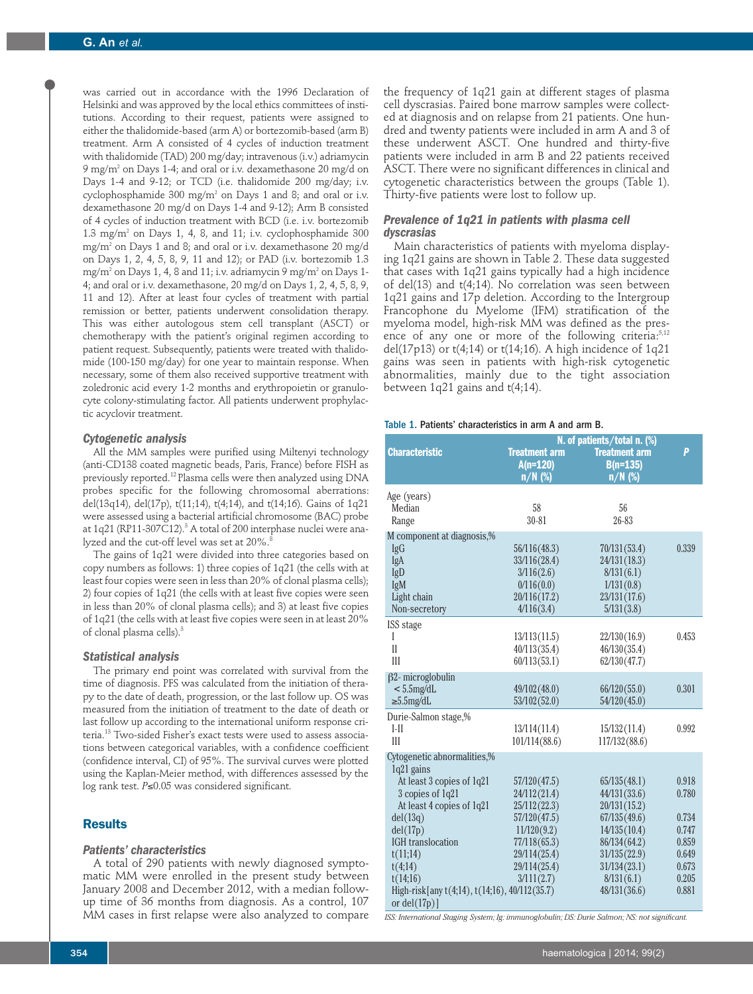was carried out in accordance with the 1996 Declaration of Helsinki and was approved by the local ethics committees of institutions. According to their request, patients were assigned to either the thalidomide-based (arm A) or bortezomib-based (arm B) treatment. Arm A consisted of 4 cycles of induction treatment with thalidomide (TAD) 200 mg/day; intravenous (i.v.) adriamycin 9 mg/m2 on Days 1-4; and oral or i.v. dexamethasone 20 mg/d on Days 1-4 and 9-12; or TCD (i.e. thalidomide 200 mg/day; i.v. cyclophosphamide 300 mg/m<sup>2</sup> on Days 1 and 8; and oral or i.v. dexamethasone 20 mg/d on Days 1-4 and 9-12); Arm B consisted of 4 cycles of induction treatment with BCD (i.e. i.v. bortezomib 1.3 mg/m2 on Days 1, 4, 8, and 11; i.v. cyclophosphamide 300 mg/m2 on Days 1 and 8; and oral or i.v. dexamethasone 20 mg/d on Days 1, 2, 4, 5, 8, 9, 11 and 12); or PAD (i.v. bortezomib 1.3 mg/m<sup>2</sup> on Days 1, 4, 8 and 11; i.v. adriamycin 9 mg/m<sup>2</sup> on Days 1-4; and oral or i.v. dexamethasone, 20 mg/d on Days 1, 2, 4, 5, 8, 9, 11 and 12). After at least four cycles of treatment with partial remission or better, patients underwent consolidation therapy. This was either autologous stem cell transplant (ASCT) or chemotherapy with the patient's original regimen according to patient request. Subsequently, patients were treated with thalidomide (100-150 mg/day) for one year to maintain response. When necessary, some of them also received supportive treatment with zoledronic acid every 1-2 months and erythropoietin or granulocyte colony-stimulating factor. All patients underwent prophylactic acyclovir treatment.

## *Cytogenetic analysis*

All the MM samples were purified using Miltenyi technology (anti-CD138 coated magnetic beads, Paris, France) before FISH as previously reported.12 Plasma cells were then analyzed using DNA probes specific for the following chromosomal aberrations: del(13q14), del(17p), t(11;14), t(4;14), and t(14;16). Gains of 1q21 were assessed using a bacterial artificial chromosome (BAC) probe at  $1q21$  (RP11-307C12).<sup>3</sup> A total of 200 interphase nuclei were analyzed and the cut-off level was set at 20%.<sup>8</sup>

The gains of 1q21 were divided into three categories based on copy numbers as follows: 1) three copies of 1q21 (the cells with at least four copies were seen in less than 20% of clonal plasma cells); 2) four copies of 1q21 (the cells with at least five copies were seen in less than 20% of clonal plasma cells); and 3) at least five copies of 1q21 (the cells with at least five copies were seen in at least 20% of clonal plasma cells).<sup>3</sup>

## *Statistical analysis*

The primary end point was correlated with survival from the time of diagnosis. PFS was calculated from the initiation of therapy to the date of death, progression, or the last follow up. OS was measured from the initiation of treatment to the date of death or last follow up according to the international uniform response criteria.13 Two-sided Fisher's exact tests were used to assess associations between categorical variables, with a confidence coefficient (confidence interval, CI) of 95%. The survival curves were plotted using the Kaplan-Meier method, with differences assessed by the log rank test. *P*≤0.05 was considered significant.

# **Results**

## *Patients' characteristics*

A total of 290 patients with newly diagnosed symptomatic MM were enrolled in the present study between January 2008 and December 2012, with a median followup time of 36 months from diagnosis. As a control, 107 MM cases in first relapse were also analyzed to compare

the frequency of 1q21 gain at different stages of plasma cell dyscrasias. Paired bone marrow samples were collected at diagnosis and on relapse from 21 patients. One hundred and twenty patients were included in arm A and 3 of these underwent ASCT. One hundred and thirty-five patients were included in arm B and 22 patients received ASCT. There were no significant differences in clinical and cytogenetic characteristics between the groups (Table 1). Thirty-five patients were lost to follow up.

# *Prevalence of 1q21 in patients with plasma cell dyscrasias*

Main characteristics of patients with myeloma displaying 1q21 gains are shown in Table 2. These data suggested that cases with 1q21 gains typically had a high incidence of del(13) and t(4;14). No correlation was seen between 1q21 gains and 17p deletion. According to the Intergroup Francophone du Myelome (IFM) stratification of the myeloma model, high-risk MM was defined as the presence of any one or more of the following criteria:<sup>5,12</sup> del(17p13) or  $t(4;14)$  or  $t(14;16)$ . A high incidence of  $1q21$ gains was seen in patients with high-risk cytogenetic abnormalities, mainly due to the tight association between 1q21 gains and t(4;14).

#### Table 1. Patients' characteristics in arm A and arm B.

|                                               | N. of patients/total n. (%)                     |                                                 |       |
|-----------------------------------------------|-------------------------------------------------|-------------------------------------------------|-------|
| <b>Characteristic</b>                         | <b>Treatment arm</b><br>$A(n=120)$<br>$n/N$ (%) | <b>Treatment arm</b><br>$B(n=135)$<br>$n/N$ (%) | P     |
| Age (years)                                   |                                                 |                                                 |       |
| Median                                        | 58                                              | 56                                              |       |
| Range                                         | $30 - 81$                                       | 26-83                                           |       |
| M component at diagnosis,%                    |                                                 |                                                 |       |
| IgG                                           | 56/116 (48.3)                                   | 70/131 (53.4)                                   | 0.339 |
| IgA                                           | 33/116(28.4)                                    | 24/131(18.3)                                    |       |
| IgD                                           | 3/116(2.6)                                      | 8/131(6.1)                                      |       |
| IgM                                           | 0/116(0.0)                                      | 1/131(0.8)                                      |       |
| Light chain                                   | 20/116 (17.2)                                   | 23/131(17.6)                                    |       |
| Non-secretory                                 | 4/116(3.4)                                      | 5/131(3.8)                                      |       |
| ISS stage                                     |                                                 |                                                 |       |
| I                                             | 13/113(11.5)                                    | 22/130(16.9)                                    | 0.453 |
| $\mathbf{I}$                                  | 40/113(35.4)                                    | 46/130(35.4)                                    |       |
| Ш                                             | 60/113(53.1)                                    | 62/130(47.7)                                    |       |
| $\beta$ 2- microglobulin                      |                                                 |                                                 |       |
| $< 5.5$ mg/dL                                 | 49/102 (48.0)                                   | 66/120(55.0)                                    | 0.301 |
| $\geq 5.5$ mg/dL                              | 53/102(52.0)                                    | 54/120(45.0)                                    |       |
| Durie-Salmon stage,%                          |                                                 |                                                 |       |
| $I-II$                                        | 13/114(11.4)                                    | 15/132(11.4)                                    | 0.992 |
| III                                           | 101/114(88.6)                                   | 117/132(88.6)                                   |       |
| Cytogenetic abnormalities,%                   |                                                 |                                                 |       |
| 1q21 gains                                    |                                                 |                                                 |       |
| At least 3 copies of 1q21                     | 57/120(47.5)                                    | 65/135(48.1)                                    | 0.918 |
| 3 copies of 1q21                              | 24/112(21.4)                                    | 44/131(33.6)                                    | 0.780 |
| At least 4 copies of 1q21                     | 25/112(22.3)                                    | 20/131(15.2)                                    |       |
| del(13q)                                      | 57/120(47.5)                                    | 67/135(49.6)                                    | 0.734 |
| del(17p)                                      | 11/120(9.2)                                     | 14/135(10.4)                                    | 0.747 |
| <b>IGH</b> translocation                      | 77/118(65.3)                                    | 86/134(64.2)                                    | 0.859 |
| t(11;14)                                      | 29/114(25.4)                                    | 31/135(22.9)                                    | 0.649 |
| t(4;14)                                       | 29/114(25.4)                                    | 31/134(23.1)                                    | 0.673 |
| t(14;16)                                      | 3/111(2.7)                                      | 8/131(6.1)                                      | 0.205 |
| High-risk[any t(4;14), t(14;16), 40/112(35.7) |                                                 | 48/131(36.6)                                    | 0.881 |
| or $del(17p)$ ]                               |                                                 |                                                 |       |

*ISS: International Staging System; Ig: immunoglobulin; DS: Durie Salmon; NS: not significant.*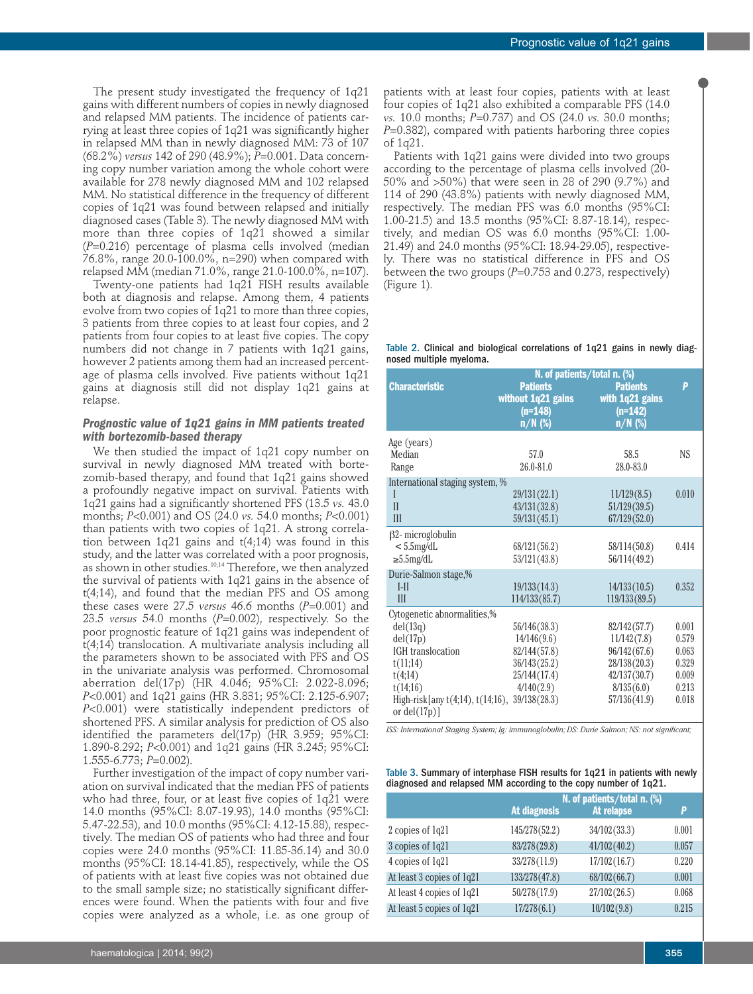The present study investigated the frequency of 1q21 gains with different numbers of copies in newly diagnosed and relapsed MM patients. The incidence of patients carrying at least three copies of 1q21 was significantly higher in relapsed MM than in newly diagnosed MM: 73 of 107 (68.2%) *versus* 142 of 290 (48.9%); *P*=0.001. Data concerning copy number variation among the whole cohort were available for 278 newly diagnosed MM and 102 relapsed MM. No statistical difference in the frequency of different copies of 1q21 was found between relapsed and initially diagnosed cases (Table 3). The newly diagnosed MM with more than three copies of 1q21 showed a similar (*P*=0.216) percentage of plasma cells involved (median 76.8%, range 20.0-100.0%, n=290) when compared with relapsed MM (median 71.0%, range 21.0-100.0%, n=107).

Twenty-one patients had 1q21 FISH results available both at diagnosis and relapse. Among them, 4 patients evolve from two copies of 1q21 to more than three copies, 3 patients from three copies to at least four copies, and 2 patients from four copies to at least five copies. The copy numbers did not change in 7 patients with 1q21 gains, however 2 patients among them had an increased percentage of plasma cells involved. Five patients without 1q21 gains at diagnosis still did not display 1q21 gains at relapse.

# *Prognostic value of 1q21 gains in MM patients treated with bortezomib-based therapy*

We then studied the impact of 1q21 copy number on survival in newly diagnosed MM treated with bortezomib-based therapy, and found that 1q21 gains showed a profoundly negative impact on survival. Patients with 1q21 gains had a significantly shortened PFS (13.5 *vs.* 43.0 months; *P*<0.001) and OS (24.0 *vs.* 54.0 months; *P*<0.001) than patients with two copies of 1q21. A strong correlation between 1q21 gains and t(4;14) was found in this study, and the latter was correlated with a poor prognosis, as shown in other studies.<sup>10,14</sup> Therefore, we then analyzed the survival of patients with 1q21 gains in the absence of t(4;14), and found that the median PFS and OS among these cases were 27.5 *versus* 46.6 months (*P*=0.001) and 23.5 *versus* 54.0 months (*P*=0.002), respectively. So the poor prognostic feature of 1q21 gains was independent of t(4;14) translocation. A multivariate analysis including all the parameters shown to be associated with PFS and OS in the univariate analysis was performed. Chromosomal aberration del(17p) (HR 4.046; 95%CI: 2.022-8.096; *P*<0.001) and 1q21 gains (HR 3.831; 95%CI: 2.125-6.907; *P*<0.001) were statistically independent predictors of shortened PFS. A similar analysis for prediction of OS also identified the parameters del(17p) (HR 3.959; 95%CI: 1.890-8.292; *P*<0.001) and 1q21 gains (HR 3.245; 95%CI: 1.555-6.773; *P*=0.002).

Further investigation of the impact of copy number variation on survival indicated that the median PFS of patients who had three, four, or at least five copies of 1q21 were 14.0 months (95%CI: 8.07-19.93), 14.0 months (95%CI: 5.47-22.53), and 10.0 months (95%CI: 4.12-15.88), respectively. The median OS of patients who had three and four copies were 24.0 months (95%CI: 11.85-36.14) and 30.0 months (95%CI: 18.14-41.85), respectively, while the OS of patients with at least five copies was not obtained due to the small sample size; no statistically significant differences were found. When the patients with four and five copies were analyzed as a whole, i.e. as one group of

Patients with 1q21 gains were divided into two groups according to the percentage of plasma cells involved (20- 50% and >50%) that were seen in 28 of 290 (9.7%) and 114 of 290 (43.8%) patients with newly diagnosed MM, respectively. The median PFS was 6.0 months (95%CI: 1.00-21.5) and 13.5 months (95%CI: 8.87-18.14), respectively, and median OS was 6.0 months (95%CI: 1.00- 21.49) and 24.0 months (95%CI: 18.94-29.05), respectively. There was no statistical difference in PFS and OS between the two groups (*P*=0.753 and 0.273, respectively) (Figure 1).

#### Table 2. Clinical and biological correlations of 1q21 gains in newly diagnosed multiple myeloma.

|                                                            | N. of patients/total n. (%)                                     |                                                              |           |
|------------------------------------------------------------|-----------------------------------------------------------------|--------------------------------------------------------------|-----------|
| <b>Characteristic</b>                                      | <b>Patients</b><br>without 1q21 gains<br>$(n=148)$<br>$n/N$ (%) | <b>Patients</b><br>with 1q21 gains<br>$(n=142)$<br>$n/N$ (%) | P         |
| Age (years)                                                |                                                                 |                                                              |           |
| Median                                                     | 57.0                                                            | 58.5                                                         | <b>NS</b> |
| Range                                                      | $26.0 - 81.0$                                                   | 28.0-83.0                                                    |           |
| International staging system, %                            |                                                                 |                                                              |           |
| I                                                          | 29/131(22.1)                                                    | 11/129(8.5)                                                  | 0.010     |
| $\mathbf{I}$                                               | 43/131(32.8)                                                    | 51/129(39.5)                                                 |           |
| III                                                        | 59/131(45.1)                                                    | 67/129(52.0)                                                 |           |
| $\beta$ 2- microglobulin                                   |                                                                 |                                                              |           |
| $< 5.5$ mg/dL                                              | 68/121(56.2)                                                    | 58/114(50.8)                                                 | 0.414     |
| $\geq 5.5$ mg/dL                                           | 53/121(43.8)                                                    | 56/114(49.2)                                                 |           |
| Durie-Salmon stage,%                                       |                                                                 |                                                              |           |
| $I-II$                                                     | 19/133(14.3)                                                    | 14/133(10.5)                                                 | 0.352     |
| III                                                        | 114/133(85.7)                                                   | 119/133(89.5)                                                |           |
| Cytogenetic abnormalities,%                                |                                                                 |                                                              |           |
| del(13q)                                                   | 56/146(38.3)                                                    | 82/142(57.7)                                                 | 0.001     |
| del(17p)                                                   | 14/146(9.6)                                                     | 11/142(7.8)                                                  | 0.579     |
| IGH translocation                                          | 82/144(57.8)                                                    | 96/142(67.6)                                                 | 0.063     |
| t(11;14)                                                   | 36/143(25.2)                                                    | 28/138(20.3)                                                 | 0.329     |
| t(4;14)                                                    | 25/144(17.4)                                                    | 42/137(30.7)                                                 | 0.009     |
| t(14;16)                                                   | 4/140(2.9)                                                      | 8/135(6.0)                                                   | 0.213     |
| High-risk [any $t(4;14)$ , $t(14;16)$ ,<br>or $del(17p)$ ] | 39/138(28.3)                                                    | 57/136(41.9)                                                 | 0.018     |

*ISS: International Staging System; Ig: immunoglobulin; DS: Durie Salmon; NS: not significant;*

Table 3. Summary of interphase FISH results for 1q21 in patients with newly diagnosed and relapsed MM according to the copy number of 1q21.

|                                            | N. of patients/total n. (%) |       |  |
|--------------------------------------------|-----------------------------|-------|--|
| At diagnosis                               | At relapse                  | P     |  |
| 145/278(52.2)<br>2 copies of 1q21          | 34/102(33.3)                | 0.001 |  |
| 3 copies of 1q21<br>83/278(29.8)           | 41/102(40.2)                | 0.057 |  |
| 4 copies of 1q21<br>33/278(11.9)           | 17/102(16.7)                | 0.220 |  |
| 133/278(47.8)<br>At least 3 copies of 1q21 | 68/102 (66.7)               | 0.001 |  |
| 50/278(17.9)<br>At least 4 copies of 1q21  | 27/102 (26.5)               | 0.068 |  |
| At least 5 copies of 1q21<br>17/278(6.1)   | 10/102(9.8)                 | 0.215 |  |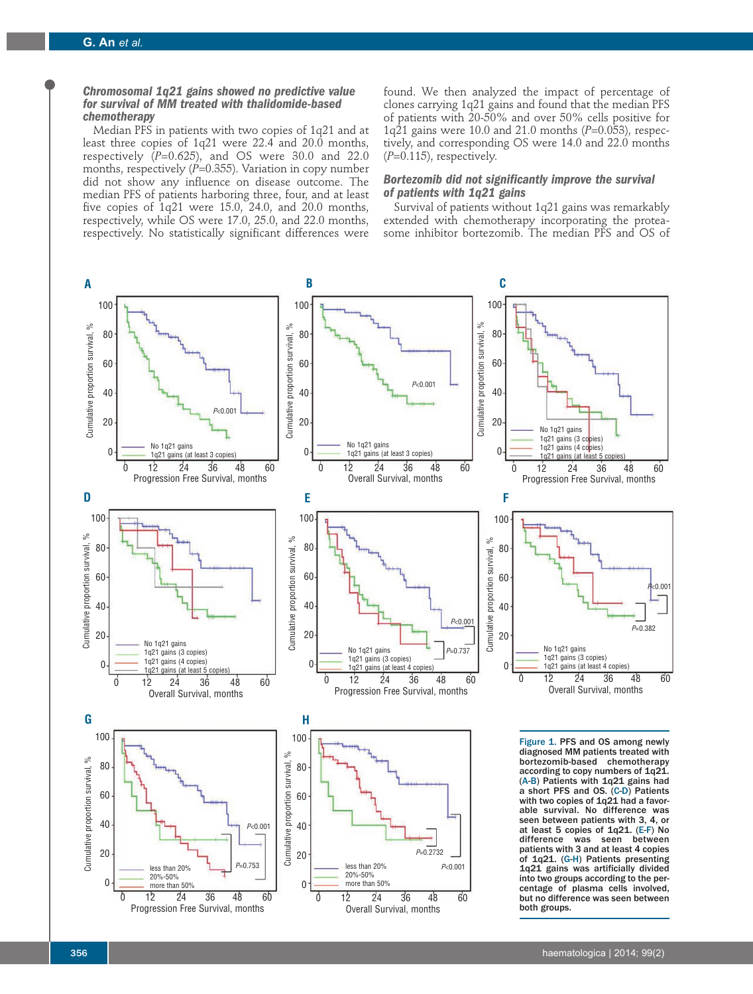# *Chromosomal 1q21 gains showed no predictive value for survival of MM treated with thalidomide-based chemotherapy*

Median PFS in patients with two copies of 1q21 and at least three copies of 1q21 were 22.4 and 20.0 months, respectively  $(P=0.625)$ , and OS were 30.0 and 22.0 months, respectively (P=0.355). Variation in copy number did not show any influence on disease outcome. The median PFS of patients harboring three, four, and at least five copies of 1q21 were 15.0, 24.0, and 20.0 months, respectively, while OS were 17.0, 25.0, and 22.0 months, respectively. No statistically significant differences were

found. We then analyzed the impact of percentage of clones carrying 1q21 gains and found that the median PFS of patients with 20-50% and over 50% cells positive for 1q21 gains were 10.0 and 21.0 months (*P*=0.053), respectively, and corresponding OS were 14.0 and 22.0 months (*P*=0.115), respectively.

# *Bortezomib did not significantly improve the survival of patients with 1q21 gains*

Survival of patients without 1q21 gains was remarkably extended with chemotherapy incorporating the proteasome inhibitor bortezomib. The median PFS and OS of

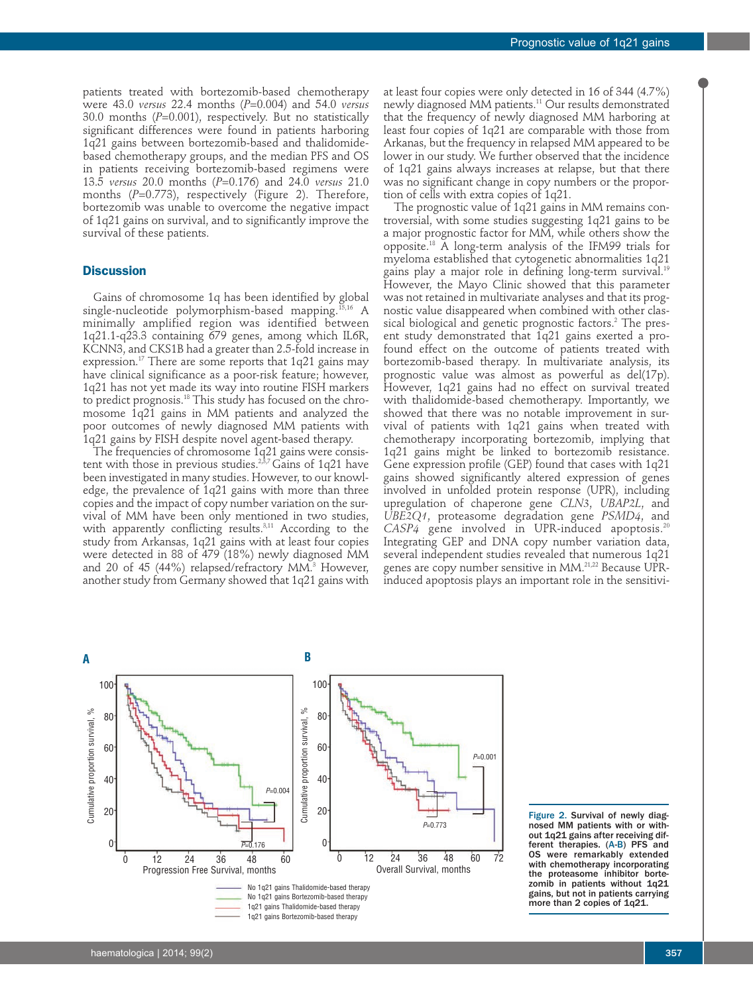patients treated with bortezomib-based chemotherapy were 43.0 *versus* 22.4 months (*P*=0.004) and 54.0 *versus* 30.0 months (*P*=0.001), respectively. But no statistically significant differences were found in patients harboring 1q21 gains between bortezomib-based and thalidomidebased chemotherapy groups, and the median PFS and OS in patients receiving bortezomib-based regimens were 13.5 *versus* 20.0 months (*P*=0.176) and 24.0 *versus* 21.0 months (*P*=0.773), respectively (Figure 2). Therefore, bortezomib was unable to overcome the negative impact of 1q21 gains on survival, and to significantly improve the survival of these patients.

## **Discussion**

Gains of chromosome 1q has been identified by global single-nucleotide polymorphism-based mapping.15,16 A minimally amplified region was identified between 1q21.1-q23.3 containing 679 genes, among which IL6R, KCNN3, and CKS1B had a greater than 2.5-fold increase in expression.<sup>17</sup> There are some reports that  $1q21$  gains may have clinical significance as a poor-risk feature; however, 1q21 has not yet made its way into routine FISH markers to predict prognosis.18 This study has focused on the chromosome 1q21 gains in MM patients and analyzed the poor outcomes of newly diagnosed MM patients with 1q21 gains by FISH despite novel agent-based therapy.

The frequencies of chromosome 1q21 gains were consistent with those in previous studies.<sup>2,3,7</sup> Gains of 1q21 have been investigated in many studies. However, to our knowledge, the prevalence of 1q21 gains with more than three copies and the impact of copy number variation on the survival of MM have been only mentioned in two studies, with apparently conflicting results.<sup>3,11</sup> According to the study from Arkansas, 1q21 gains with at least four copies were detected in 88 of 479 (18%) newly diagnosed MM and 20 of 45 (44%) relapsed/refractory MM.<sup>3</sup> However, another study from Germany showed that 1q21 gains with

at least four copies were only detected in 16 of 344 (4.7%) newly diagnosed MM patients.11 Our results demonstrated that the frequency of newly diagnosed MM harboring at least four copies of 1q21 are comparable with those from Arkanas, but the frequency in relapsed MM appeared to be lower in our study. We further observed that the incidence of 1q21 gains always increases at relapse, but that there was no significant change in copy numbers or the proportion of cells with extra copies of 1q21.

The prognostic value of 1q21 gains in MM remains controversial, with some studies suggesting 1q21 gains to be a major prognostic factor for MM, while others show the opposite.18 A long-term analysis of the IFM99 trials for myeloma established that cytogenetic abnormalities 1q21 gains play a major role in defining long-term survival.<sup>19</sup> However, the Mayo Clinic showed that this parameter was not retained in multivariate analyses and that its prognostic value disappeared when combined with other classical biological and genetic prognostic factors.<sup>2</sup> The present study demonstrated that 1q21 gains exerted a profound effect on the outcome of patients treated with bortezomib-based therapy. In multivariate analysis, its prognostic value was almost as powerful as del(17p). However, 1q21 gains had no effect on survival treated with thalidomide-based chemotherapy. Importantly, we showed that there was no notable improvement in survival of patients with 1q21 gains when treated with chemotherapy incorporating bortezomib, implying that 1q21 gains might be linked to bortezomib resistance. Gene expression profile (GEP) found that cases with 1q21 gains showed significantly altered expression of genes involved in unfolded protein response (UPR), including upregulation of chaperone gene *CLN3*, *UBAP2L*, and *UBE2Q1*, proteasome degradation gene *PSMD4*, and CASP4 gene involved in UPR-induced apoptosis.<sup>20</sup> Integrating GEP and DNA copy number variation data, several independent studies revealed that numerous 1q21 genes are copy number sensitive in MM.<sup>21,22</sup> Because UPRinduced apoptosis plays an important role in the sensitivi-



Figure 2. Survival of newly diagnosed MM patients with or without 1q21 gains after receiving different therapies. (A-B) PFS and OS were remarkably extended with chemotherapy incorporating the proteasome inhibitor bortezomib in patients without 1q21 gains, but not in patients carrying more than 2 copies of 1q21.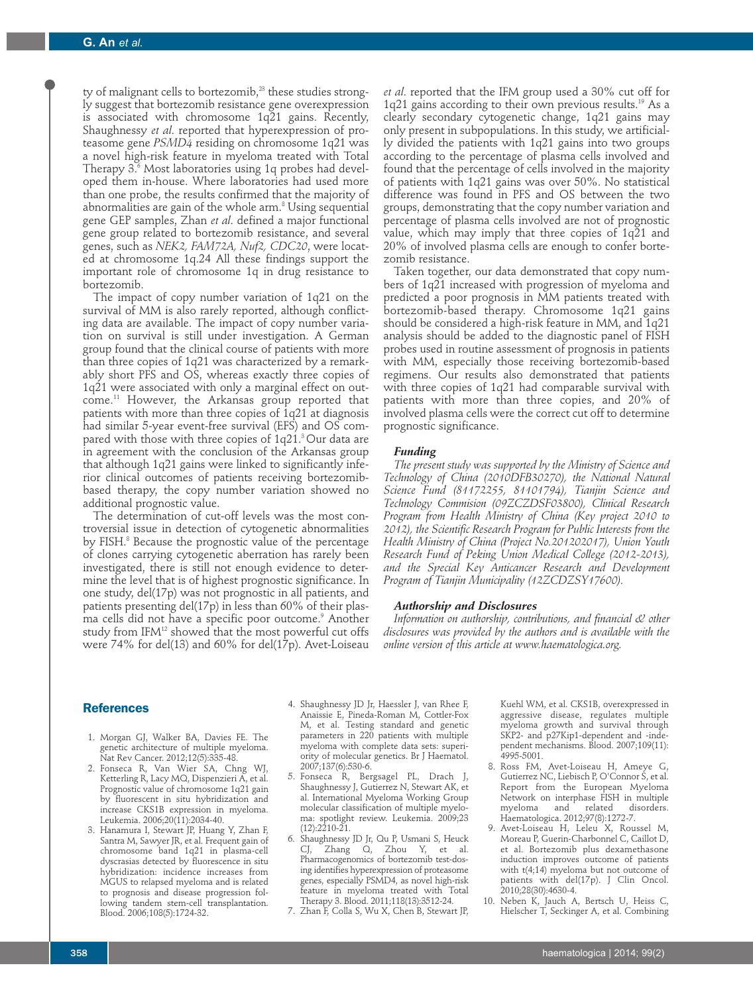ty of malignant cells to bortezomib, $23$  these studies strongly suggest that bortezomib resistance gene overexpression is associated with chromosome 1q21 gains. Recently, Shaughnessy *et al*. reported that hyperexpression of proteasome gene *PSMD4* residing on chromosome 1q21 was a novel high-risk feature in myeloma treated with Total Therapy  $3.6$  Most laboratories using 1q probes had developed them in-house. Where laboratories had used more than one probe, the results confirmed that the majority of abnormalities are gain of the whole arm.<sup>8</sup> Using sequential gene GEP samples, Zhan *et al*. defined a major functional gene group related to bortezomib resistance, and several genes, such as *NEK2, FAM72A, Nuf2, CDC20*, were located at chromosome 1q.24 All these findings support the important role of chromosome 1q in drug resistance to bortezomib.

The impact of copy number variation of 1q21 on the survival of MM is also rarely reported, although conflicting data are available. The impact of copy number variation on survival is still under investigation. A German group found that the clinical course of patients with more than three copies of 1q21 was characterized by a remarkably short PFS and OS, whereas exactly three copies of 1q21 were associated with only a marginal effect on outcome.11 However, the Arkansas group reported that patients with more than three copies of 1q21 at diagnosis had similar 5-year event-free survival (EFS) and OS compared with those with three copies of  $1q21$ .<sup>3</sup> Our data are in agreement with the conclusion of the Arkansas group that although 1q21 gains were linked to significantly inferior clinical outcomes of patients receiving bortezomibbased therapy, the copy number variation showed no additional prognostic value.

The determination of cut-off levels was the most controversial issue in detection of cytogenetic abnormalities by FISH.<sup>8</sup> Because the prognostic value of the percentage of clones carrying cytogenetic aberration has rarely been investigated, there is still not enough evidence to determine the level that is of highest prognostic significance. In one study, del(17p) was not prognostic in all patients, and patients presenting del(17p) in less than 60% of their plasma cells did not have a specific poor outcome.<sup>9</sup> Another study from IFM<sup>12</sup> showed that the most powerful cut offs were 74% for del(13) and 60% for del(17p). Avet-Loiseau

*et al*. reported that the IFM group used a 30% cut off for 1q21 gains according to their own previous results.<sup>19</sup> As a clearly secondary cytogenetic change, 1q21 gains may only present in subpopulations. In this study, we artificially divided the patients with 1q21 gains into two groups according to the percentage of plasma cells involved and found that the percentage of cells involved in the majority of patients with 1q21 gains was over 50%. No statistical difference was found in PFS and OS between the two groups, demonstrating that the copy number variation and percentage of plasma cells involved are not of prognostic value, which may imply that three copies of 1q21 and 20% of involved plasma cells are enough to confer bortezomib resistance.

Taken together, our data demonstrated that copy numbers of 1q21 increased with progression of myeloma and predicted a poor prognosis in MM patients treated with bortezomib-based therapy. Chromosome 1q21 gains should be considered a high-risk feature in MM, and 1q21 analysis should be added to the diagnostic panel of FISH probes used in routine assessment of prognosis in patients with MM, especially those receiving bortezomib-based regimens. Our results also demonstrated that patients with three copies of 1q21 had comparable survival with patients with more than three copies, and 20% of involved plasma cells were the correct cut off to determine prognostic significance.

## *Funding*

*The present study was supported by the Ministry of Science and Technology of China (2010DFB30270), the National Natural Science Fund (81172255, 81101794), Tianjin Science and Technology Commision (09ZCZDSF03800), Clinical Research Program from Health Ministry of China (Key project 2010 to 2012), the Scientific Research Program for Public Interests from the Health Ministry of China (Project No.201202017), Union Youth Research Fund of Peking Union Medical College (2012-2013), and the Special Key Anticancer Research and Development Program of Tianjin Municipality (12ZCDZSY17600).*

# *Authorship and Disclosures*

*Information on authorship, contributions, and financial & other disclosures was provided by the authors and is available with the online version of this article at www.haematologica.org.*

# **References**

- 1. Morgan GJ, Walker BA, Davies FE. The genetic architecture of multiple myeloma. Nat Rev Cancer. 2012;12(5):335-48.
- 2. Fonseca R, Van Wier SA, Chng WJ, Ketterling R, Lacy MQ, Dispenzieri A, et al. Prognostic value of chromosome 1q21 gain by fluorescent in situ hybridization and increase CKS1B expression in myeloma. Leukemia. 2006;20(11):2034-40.
- 3. Hanamura I, Stewart JP, Huang Y, Zhan F, Santra M, Sawyer JR, et al. Frequent gain of chromosome band 1q21 in plasma-cell dyscrasias detected by fluorescence in situ hybridization: incidence increases from MGUS to relapsed myeloma and is related to prognosis and disease progression following tandem stem-cell transplantation. Blood. 2006;108(5):1724-32.
- 4. Shaughnessy JD Jr, Haessler J, van Rhee F, Anaissie E, Pineda-Roman M, Cottler-Fox M, et al. Testing standard and genetic parameters in 220 patients with multiple myeloma with complete data sets: superiority of molecular genetics. Br J Haematol. 2007;137(6):530-6.
- 5. Fonseca R, Bergsagel PL, Drach J, Shaughnessy J, Gutierrez N, Stewart AK, et al. International Myeloma Working Group molecular classification of multiple myeloma: spotlight review. Leukemia. 2009;23  $(12):2210-21.$
- 6. Shaughnessy JD Jr, Qu P, Usmani S, Heuck CJ, Zhang Q, Zhou Y, et al. Pharmacogenomics of bortezomib test-dosing identifies hyperexpression of proteasome genes, especially PSMD4, as novel high-risk feature in myeloma treated with Total Therapy 3. Blood. 2011;118(13):3512-24.
- 7. Zhan F, Colla S, Wu X, Chen B, Stewart JP,

Kuehl WM, et al. CKS1B, overexpressed in aggressive disease, regulates multiple myeloma growth and survival through SKP2- and p27Kip1-dependent and -independent mechanisms. Blood. 2007;109(11): 4995-5001.

- 8. Ross FM, Avet-Loiseau H, Ameye G, Gutierrez NC, Liebisch P, O'Connor S, et al. Report from the European Myeloma Network on interphase FISH in multiple<br>myeloma and related disorders. myeloma and related disorders. Haematologica. 2012;97(8):1272-7.
- 9. Avet-Loiseau H, Leleu X, Roussel M, Moreau P, Guerin-Charbonnel C, Caillot D, et al. Bortezomib plus dexamethasone induction improves outcome of patients with t(4;14) myeloma but not outcome of patients with del(17p). J Clin Oncol. 2010;28(30):4630-4.
- 10. Neben K, Jauch A, Bertsch U, Heiss C, Hielscher T, Seckinger A, et al. Combining